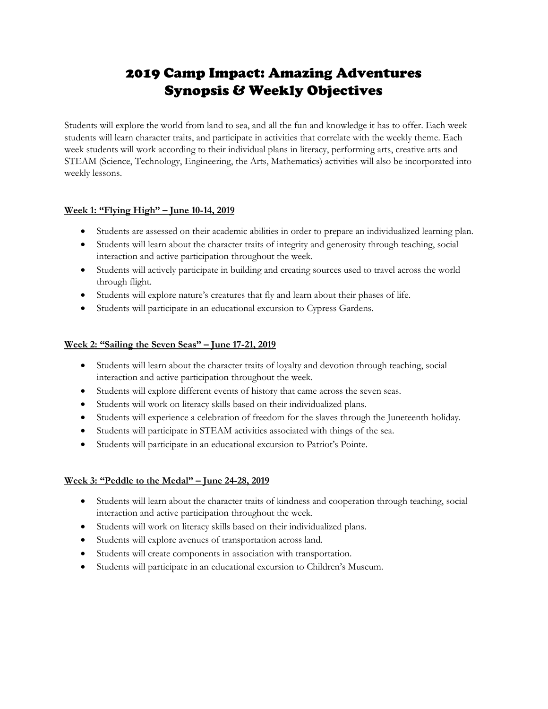# 2019 Camp Impact: Amazing Adventures Synopsis & Weekly Objectives

Students will explore the world from land to sea, and all the fun and knowledge it has to offer. Each week students will learn character traits, and participate in activities that correlate with the weekly theme. Each week students will work according to their individual plans in literacy, performing arts, creative arts and STEAM (Science, Technology, Engineering, the Arts, Mathematics) activities will also be incorporated into weekly lessons.

## **Week 1: "Flying High" – June 10-14, 2019**

- Students are assessed on their academic abilities in order to prepare an individualized learning plan.
- Students will learn about the character traits of integrity and generosity through teaching, social interaction and active participation throughout the week.
- Students will actively participate in building and creating sources used to travel across the world through flight.
- Students will explore nature's creatures that fly and learn about their phases of life.
- Students will participate in an educational excursion to Cypress Gardens.

#### **Week 2: "Sailing the Seven Seas" – June 17-21, 2019**

- Students will learn about the character traits of loyalty and devotion through teaching, social interaction and active participation throughout the week.
- Students will explore different events of history that came across the seven seas.
- Students will work on literacy skills based on their individualized plans.
- Students will experience a celebration of freedom for the slaves through the Juneteenth holiday.
- Students will participate in STEAM activities associated with things of the sea.
- Students will participate in an educational excursion to Patriot's Pointe.

#### **Week 3: "Peddle to the Medal" – June 24-28, 2019**

- Students will learn about the character traits of kindness and cooperation through teaching, social interaction and active participation throughout the week.
- Students will work on literacy skills based on their individualized plans.
- Students will explore avenues of transportation across land.
- Students will create components in association with transportation.
- Students will participate in an educational excursion to Children's Museum.